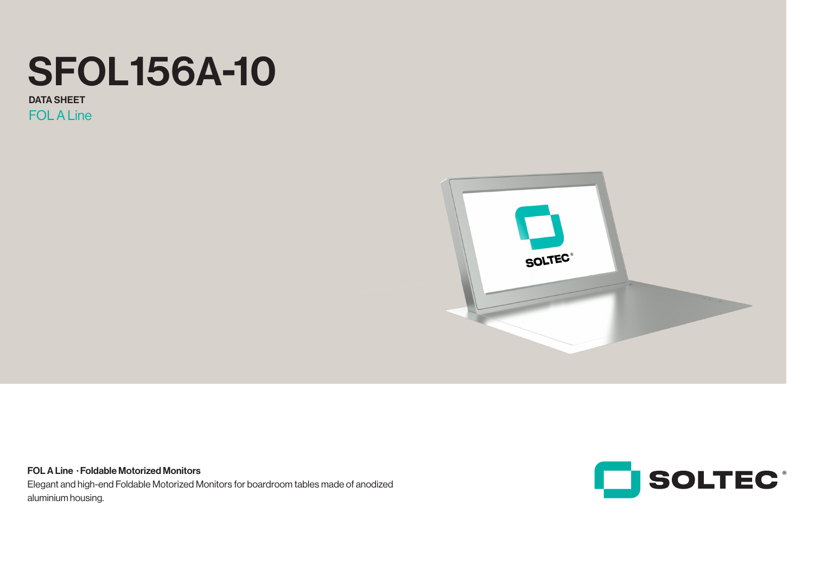# SFOL156A-10

**FOL A Line** DATA SHEET



FOL A Line · Foldable Motorized Monitors Elegant and high-end Foldable Motorized Monitors for boardroom tables made of anodized aluminium housing.

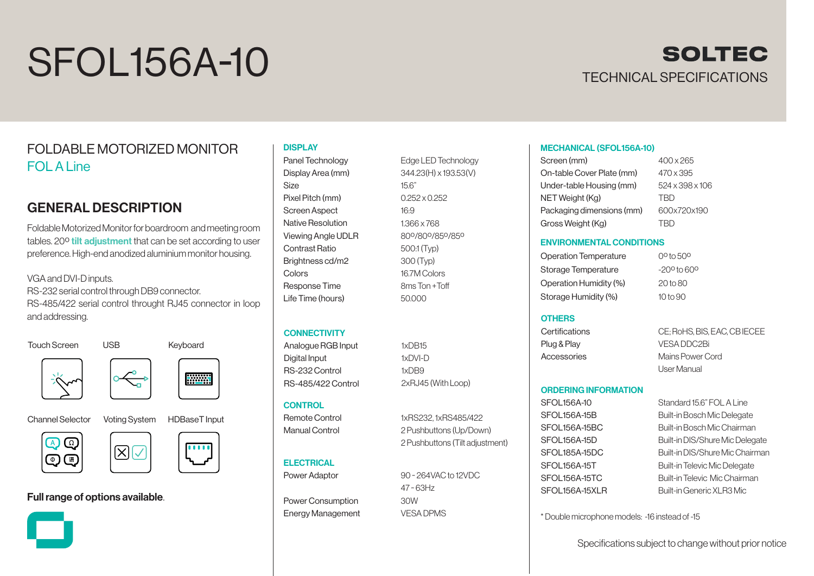# SFOL156A-10



### FOLDABLE MOTORIZED MONITOR FOL A Line

### GENERAL DESCRIPTION

Foldable Motorized Monitor for boardroom and meeting room tables. 20<sup>°</sup> tilt adjustment that can be set according to user preference. High-end anodized aluminium monitor housing.

VGA and DVI-D inputs. RS-232 serial control through DB9 connector. RS-485/422 serial control throught RJ45 connector in loop and addressing.

Touch Screen USB Keyboard







Channel Selector Voting System HDBaseT Input





## $\boxed{\boxtimes}$

### Full range of options available.



## $\blacksquare$

#### **DISPLAY** Panel Technology

Display Area (mm) Size Pixel Pitch (mm) Screen Aspect Native Resolution Viewing Angle UDLR Contrast Ratio Brightness cd/m2 Colors Response Time Life Time (hours)

### **CONNECTIVITY**

Analogue RGB Input Digital Input RS-232 Control RS-485/422 Control

### **CONTROL**

Remote Control Manual Control

#### **ELECTRICAL** Power Adaptor

Power Consumption Energy Management

Edge LED Technology 344.23(H) x 193.53(V) 15.6" 0.252 x 0.252 16:9 1.366 x 768 80º/80º/85º/85º 500:1 (Typ) 300 (Typ) 16.7M Colors 8ms Ton +Toff 50.000

# 1xDB15

1xRS232, 1xRS485/422 2 Pushbuttons (Up/Down) 2 Pushbuttons (Tilt adjustment)

47 ~ 63Hz

VESA DPMS

#### MECHANICAL (SFOL156A-10)

| Screen (mm)               | 400 x 265       |
|---------------------------|-----------------|
| On-table Cover Plate (mm) | 470 x 395       |
| Under-table Housing (mm)  | 524 x 398 x 106 |
| NET Weight (Kg)           | <b>TRD</b>      |
| Packaging dimensions (mm) | 600x720x190     |
| Gross Weight (Kg)         | TRD             |

#### ENVIRONMENTAL CONDITIONS

Operation Temperature Storage Temperature Operation Humidity (%) Storage Humidity (%) 0º to 50º

 $-200$  to 600 20 to 80 10 to 90

#### **OTHERS**

**Certifications** Plug & Play Accessories

CE; RoHS, BIS, EAC, CB IECEE VESA DDC2Bi Mains Power Cord User Manual

#### ORDERING INFORMATION

SFOL156A-10 SFOL156A-15B SFOL156A-15BC SFOL156A-15D SFOL185A-15DC SFOL156A-15T SFOL156A-15TC SFOL156A-15XLR

Standard 15.6" FOL A Line Built-in Bosch Mic Delegate Built-in Bosch Mic Chairman Built-in DIS/Shure Mic Delegate Built-in DIS/Shure Mic Chairman Built-in Televic Mic Delegate Built-in Televic Mic Chairman Built-in Generic XLR3 Mic

\* Double microphone models: -16 instead of -15

Specifications subject to change without prior notice

### 1xDVI-D 1xDB9 2xRJ45 (With Loop)

90 ~ 264VAC to 12VDC 30W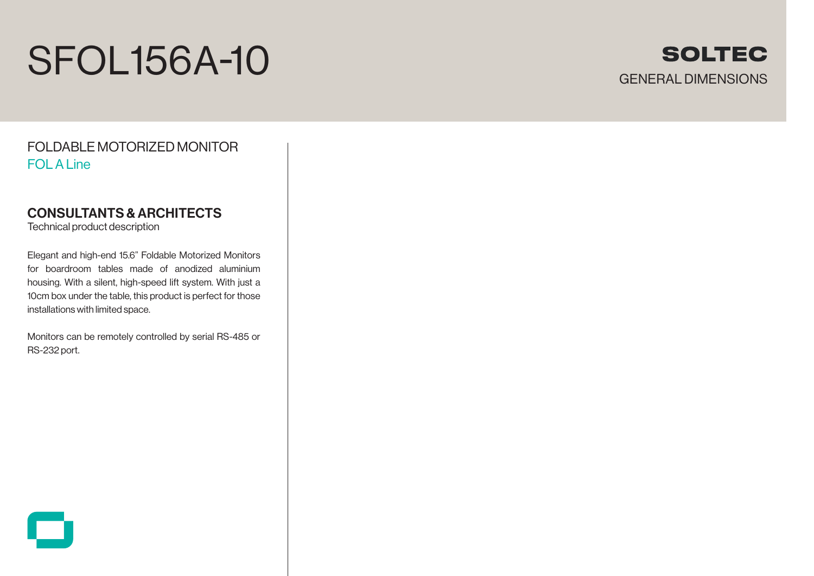# SFOL156A-10



FOLDABLE MOTORIZED MONITOR FOL A Line

### CONSULTANTS & ARCHITECTS

Technical product description

Elegant and high-end 15.6" Foldable Motorized Monitors for boardroom tables made of anodized aluminium housing. With a silent, high-speed lift system. With just a 10cm box under the table, this product is perfect for those installations with limited space.

Monitors can be remotely controlled by serial RS-485 or RS-232 port.